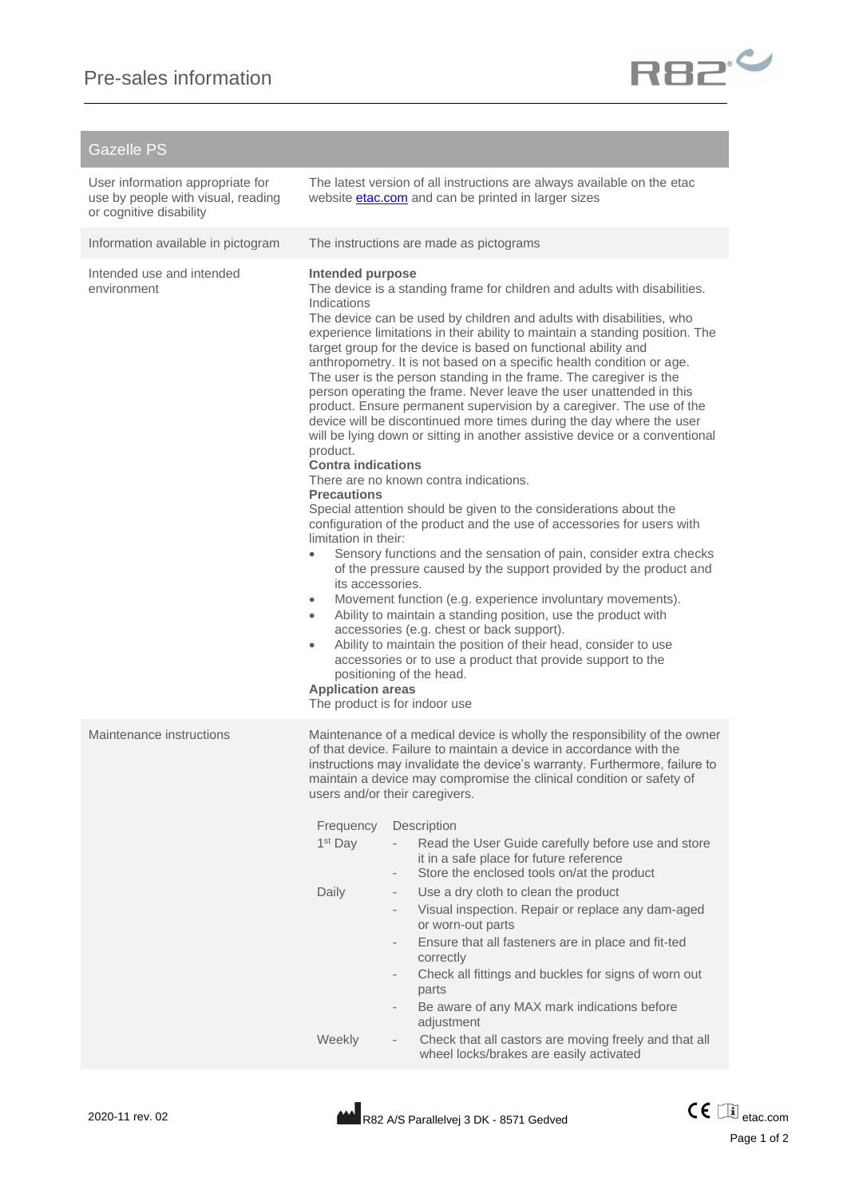

## Gazelle PS

| User information appropriate for<br>use by people with visual, reading<br>or cognitive disability |                                                                                                                                                                                                                                                                                                                                                                                                                                                                                                                                                                                                                                                                                                                                                                                                                                                                                                                                                                                                                                                                                                                                                                                                                                                                                                                                                                                                                                                                                                                                                                                                                                                                                          | The latest version of all instructions are always available on the etac<br>website <b>etac.com</b> and can be printed in larger sizes                                                                                                                                                                                                                                                                                                                                                                                                                                                                                                                                                                                                                                                                                                                                                                                                                                                              |
|---------------------------------------------------------------------------------------------------|------------------------------------------------------------------------------------------------------------------------------------------------------------------------------------------------------------------------------------------------------------------------------------------------------------------------------------------------------------------------------------------------------------------------------------------------------------------------------------------------------------------------------------------------------------------------------------------------------------------------------------------------------------------------------------------------------------------------------------------------------------------------------------------------------------------------------------------------------------------------------------------------------------------------------------------------------------------------------------------------------------------------------------------------------------------------------------------------------------------------------------------------------------------------------------------------------------------------------------------------------------------------------------------------------------------------------------------------------------------------------------------------------------------------------------------------------------------------------------------------------------------------------------------------------------------------------------------------------------------------------------------------------------------------------------------|----------------------------------------------------------------------------------------------------------------------------------------------------------------------------------------------------------------------------------------------------------------------------------------------------------------------------------------------------------------------------------------------------------------------------------------------------------------------------------------------------------------------------------------------------------------------------------------------------------------------------------------------------------------------------------------------------------------------------------------------------------------------------------------------------------------------------------------------------------------------------------------------------------------------------------------------------------------------------------------------------|
| Information available in pictogram                                                                |                                                                                                                                                                                                                                                                                                                                                                                                                                                                                                                                                                                                                                                                                                                                                                                                                                                                                                                                                                                                                                                                                                                                                                                                                                                                                                                                                                                                                                                                                                                                                                                                                                                                                          | The instructions are made as pictograms                                                                                                                                                                                                                                                                                                                                                                                                                                                                                                                                                                                                                                                                                                                                                                                                                                                                                                                                                            |
| Intended use and intended<br>environment                                                          | Intended purpose<br>The device is a standing frame for children and adults with disabilities.<br>Indications<br>The device can be used by children and adults with disabilities, who<br>experience limitations in their ability to maintain a standing position. The<br>target group for the device is based on functional ability and<br>anthropometry. It is not based on a specific health condition or age.<br>The user is the person standing in the frame. The caregiver is the<br>person operating the frame. Never leave the user unattended in this<br>product. Ensure permanent supervision by a caregiver. The use of the<br>device will be discontinued more times during the day where the user<br>will be lying down or sitting in another assistive device or a conventional<br>product.<br><b>Contra indications</b><br>There are no known contra indications.<br><b>Precautions</b><br>Special attention should be given to the considerations about the<br>configuration of the product and the use of accessories for users with<br>limitation in their:<br>Sensory functions and the sensation of pain, consider extra checks<br>of the pressure caused by the support provided by the product and<br>its accessories.<br>Movement function (e.g. experience involuntary movements).<br>$\bullet$<br>Ability to maintain a standing position, use the product with<br>$\bullet$<br>accessories (e.g. chest or back support).<br>Ability to maintain the position of their head, consider to use<br>$\bullet$<br>accessories or to use a product that provide support to the<br>positioning of the head.<br><b>Application areas</b><br>The product is for indoor use |                                                                                                                                                                                                                                                                                                                                                                                                                                                                                                                                                                                                                                                                                                                                                                                                                                                                                                                                                                                                    |
| Maintenance instructions                                                                          | Frequency<br>1 <sup>st</sup> Day<br>Daily<br>Weekly                                                                                                                                                                                                                                                                                                                                                                                                                                                                                                                                                                                                                                                                                                                                                                                                                                                                                                                                                                                                                                                                                                                                                                                                                                                                                                                                                                                                                                                                                                                                                                                                                                      | Maintenance of a medical device is wholly the responsibility of the owner<br>of that device. Failure to maintain a device in accordance with the<br>instructions may invalidate the device's warranty. Furthermore, failure to<br>maintain a device may compromise the clinical condition or safety of<br>users and/or their caregivers.<br>Description<br>Read the User Guide carefully before use and store<br>it in a safe place for future reference<br>Store the enclosed tools on/at the product<br>$\overline{\phantom{a}}$<br>Use a dry cloth to clean the product<br>$\overline{\phantom{a}}$<br>Visual inspection. Repair or replace any dam-aged<br>or worn-out parts<br>Ensure that all fasteners are in place and fit-ted<br>$\overline{\phantom{a}}$<br>correctly<br>Check all fittings and buckles for signs of worn out<br>$\overline{\phantom{a}}$<br>parts<br>Be aware of any MAX mark indications before<br>adjustment<br>Check that all castors are moving freely and that all |
|                                                                                                   |                                                                                                                                                                                                                                                                                                                                                                                                                                                                                                                                                                                                                                                                                                                                                                                                                                                                                                                                                                                                                                                                                                                                                                                                                                                                                                                                                                                                                                                                                                                                                                                                                                                                                          | wheel locks/brakes are easily activated                                                                                                                                                                                                                                                                                                                                                                                                                                                                                                                                                                                                                                                                                                                                                                                                                                                                                                                                                            |